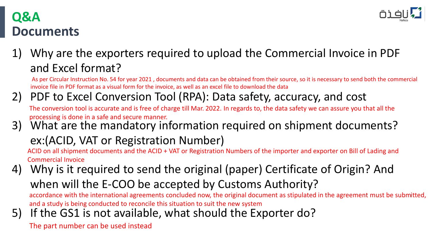

# **Documents Q&A**

1) Why are the exporters required to upload the Commercial Invoice in PDF and Excel format?

As per Circular Instruction No. 54 for year 2021 , documents and data can be obtained from their source, so it is necessary to send both the commercial invoice file in PDF format as a visual form for the invoice, as well as an excel file to download the data

2) PDF to Excel Conversion Tool (RPA): Data safety, accuracy, and cost The conversion tool is accurate and is free of charge till Mar. 2022. In regards to, the data safety we can assure you that all the

processing is done in a safe and secure manner.

3) What are the mandatory information required on shipment documents?

# ex:(ACID, VAT or Registration Number)

ACID on all shipment documents and the ACID + VAT or Registration Numbers of the importer and exporter on Bill of Lading and Commercial Invoice

- 4) Why is it required to send the original (paper) Certificate of Origin? And when will the E-COO be accepted by Customs Authority? accordance with the international agreements concluded now, the original document as stipulated in the agreement must be submitted, and a study is being conducted to reconcile this situation to suit the new system
- 5) If the GS1 is not available, what should the Exporter do?

The part number can be used instead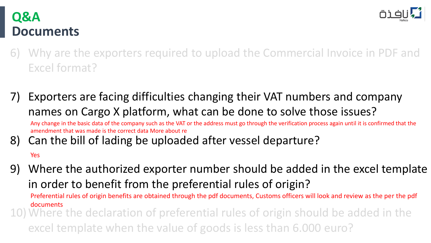

# **Documents Q&A**

- 6) Why are the exporters required to upload the Commercial Invoice in PDF and Excel format?
- 7) Exporters are facing difficulties changing their VAT numbers and company names on Cargo X platform, what can be done to solve those issues? Any change in the basic data of the company such as the VAT or the address must go through the verification process again until it is confirmed that the amendment that was made is the correct data More about re
- 8) Can the bill of lading be uploaded after vessel departure?

#### Yes

9) Where the authorized exporter number should be added in the excel template in order to benefit from the preferential rules of origin?

Preferential rules of origin benefits are obtained through the pdf documents, Customs officers will look and review as the per the pdf documents

10)Where the declaration of preferential rules of origin should be added in the excel template when the value of goods is less than 6.000 euro?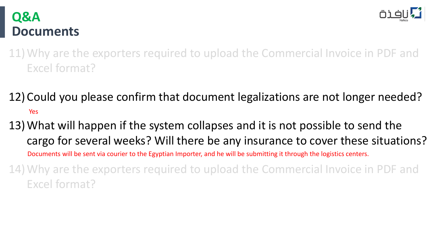

#### **Documents Q&A**

- 11)Why are the exporters required to upload the Commercial Invoice in PDF and Excel format?
- 12) Could you please confirm that document legalizations are not longer needed? Yes
- 13)What will happen if the system collapses and it is not possible to send the cargo for several weeks? Will there be any insurance to cover these situations? 14)Why are the exporters required to upload the Commercial Invoice in PDF and Documents will be sent via courier to the Egyptian Importer, and he will be submitting it through the logistics centers.
- Excel format?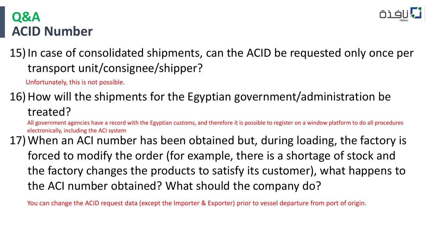

# **ACID Number Q&A**

15)In case of consolidated shipments, can the ACID be requested only once per transport unit/consignee/shipper?

Unfortunately, this is not possible.

# 16) How will the shipments for the Egyptian government/administration be treated?

All government agencies have a record with the Egyptian customs, and therefore it is possible to register on a window platform to do all procedures electronically, including the ACI system

17)When an ACI number has been obtained but, during loading, the factory is forced to modify the order (for example, there is a shortage of stock and the factory changes the products to satisfy its customer), what happens to the ACI number obtained? What should the company do?

You can change the ACID request data (except the Importer & Exporter) prior to vessel departure from port of origin.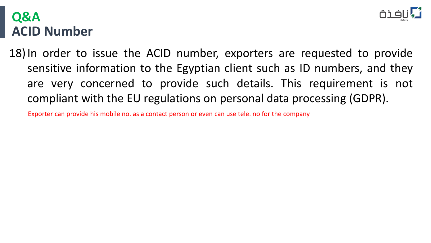

### **ACID Number Q&A**

18)In order to issue the ACID number, exporters are requested to provide sensitive information to the Egyptian client such as ID numbers, and they are very concerned to provide such details. This requirement is not compliant with the EU regulations on personal data processing (GDPR).

Exporter can provide his mobile no. as a contact person or even can use tele. no for the company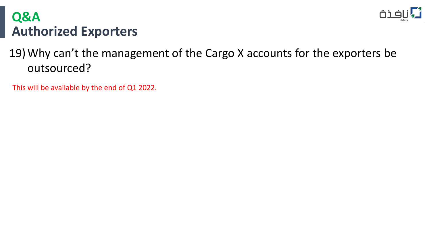

# **Authorized Exporters Q&A**

# 19)Why can't the management of the Cargo X accounts for the exporters be outsourced?

This will be available by the end of Q1 2022.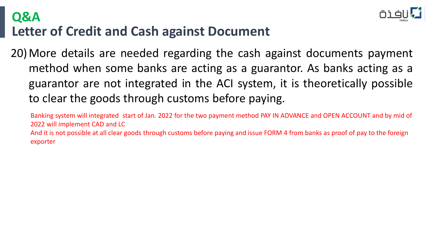# **Letter of Credit and Cash against Document Q&A**



20)More details are needed regarding the cash against documents payment method when some banks are acting as a guarantor. As banks acting as a guarantor are not integrated in the ACI system, it is theoretically possible to clear the goods through customs before paying.

Banking system will integrated start of Jan. 2022 for the two payment method PAY IN ADVANCE and OPEN ACCOUNT and by mid of 2022 will implement CAD and LC And it is not possible at all clear goods through customs before paying and issue FORM 4 from banks as proof of pay to the foreign exporter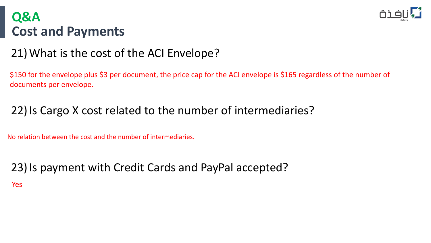

# **Cost and Payments Q&A**

#### 21)What is the cost of the ACI Envelope?

\$150 for the envelope plus \$3 per document, the price cap for the ACI envelope is \$165 regardless of the number of documents per envelope.

### 22) Is Cargo X cost related to the number of intermediaries?

No relation between the cost and the number of intermediaries.

#### 23)Is payment with Credit Cards and PayPal accepted? Yes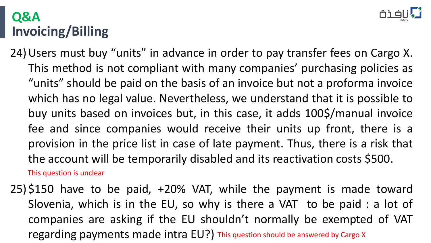# **Invoicing/Billing Q&A**

24)Users must buy "units" in advance in order to pay transfer fees on Cargo X. This method is not compliant with many companies' purchasing policies as "units" should be paid on the basis of an invoice but not a proforma invoice which has no legal value. Nevertheless, we understand that it is possible to buy units based on invoices but, in this case, it adds 100\$/manual invoice fee and since companies would receive their units up front, there is a provision in the price list in case of late payment. Thus, there is a risk that the account will be temporarily disabled and its reactivation costs \$500. This question is unclear

25) \$150 have to be paid, +20% VAT, while the payment is made toward Slovenia, which is in the EU, so why is there a VAT to be paid : a lot of companies are asking if the EU shouldn't normally be exempted of VAT regarding payments made intra EU?) This question should be answered by Cargo X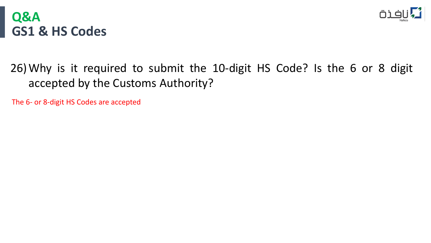



#### 26)Why is it required to submit the 10-digit HS Code? Is the 6 or 8 digit accepted by the Customs Authority?

The 6- or 8-digit HS Codes are accepted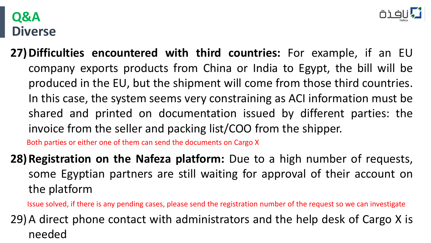#### **Diverse Q&A**



**27)Difficulties encountered with third countries:** For example, if an EU company exports products from China or India to Egypt, the bill will be produced in the EU, but the shipment will come from those third countries. In this case, the system seems very constraining as ACI information must be shared and printed on documentation issued by different parties: the invoice from the seller and packing list/COO from the shipper.

Both parties or either one of them can send the documents on Cargo X

**28)Registration on the Nafeza platform:** Due to a high number of requests, some Egyptian partners are still waiting for approval of their account on the platform

Issue solved, if there is any pending cases, please send the registration number of the request so we can investigate

29)A direct phone contact with administrators and the help desk of Cargo X is needed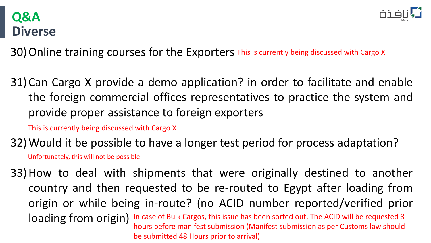#### **Diverse Q&A**

30) Online training courses for the Exporters This is currently being discussed with Cargo X

31) Can Cargo X provide a demo application? in order to facilitate and enable the foreign commercial offices representatives to practice the system and provide proper assistance to foreign exporters

This is currently being discussed with Cargo X

32)Would it be possible to have a longer test period for process adaptation? Unfortunately, this will not be possible

33)How to deal with shipments that were originally destined to another country and then requested to be re-routed to Egypt after loading from origin or while being in-route? (no ACID number reported/verified prior loading from origin) In case of Bulk Cargos, this issue has been sorted out. The ACID will be requested 3 hours before manifest submission (Manifest submission as per Customs law should be submitted 48 Hours prior to arrival)